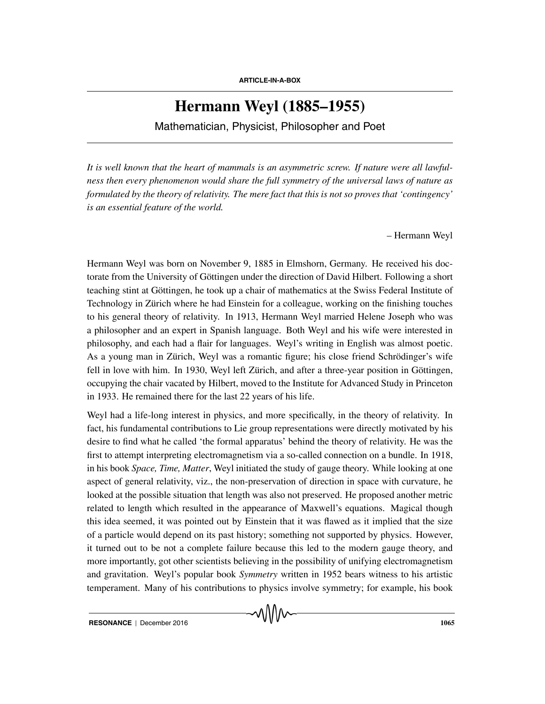## **Hermann Weyl (1885–1955)**

Mathematician, Physicist, Philosopher and Poet

*It is well known that the heart of mammals is an asymmetric screw. If nature were all lawfulness then every phenomenon would share the full symmetry of the universal laws of nature as formulated by the theory of relativity. The mere fact that this is not so proves that 'contingency' is an essential feature of the world.*

– Hermann Weyl

Hermann Weyl was born on November 9, 1885 in Elmshorn, Germany. He received his doctorate from the University of Göttingen under the direction of David Hilbert. Following a short teaching stint at Gottingen, he took up a chair of mathematics at the Swiss Federal Institute of ¨ Technology in Zürich where he had Einstein for a colleague, working on the finishing touches to his general theory of relativity. In 1913, Hermann Weyl married Helene Joseph who was a philosopher and an expert in Spanish language. Both Weyl and his wife were interested in philosophy, and each had a flair for languages. Weyl's writing in English was almost poetic. As a young man in Zürich, Weyl was a romantic figure; his close friend Schrödinger's wife fell in love with him. In 1930, Weyl left Zürich, and after a three-year position in Göttingen, occupying the chair vacated by Hilbert, moved to the Institute for Advanced Study in Princeton in 1933. He remained there for the last 22 years of his life.

Weyl had a life-long interest in physics, and more specifically, in the theory of relativity. In fact, his fundamental contributions to Lie group representations were directly motivated by his desire to find what he called 'the formal apparatus' behind the theory of relativity. He was the first to attempt interpreting electromagnetism via a so-called connection on a bundle. In 1918, in his book *Space, Time, Matter*, Weyl initiated the study of gauge theory. While looking at one aspect of general relativity, viz., the non-preservation of direction in space with curvature, he looked at the possible situation that length was also not preserved. He proposed another metric related to length which resulted in the appearance of Maxwell's equations. Magical though this idea seemed, it was pointed out by Einstein that it was flawed as it implied that the size of a particle would depend on its past history; something not supported by physics. However, it turned out to be not a complete failure because this led to the modern gauge theory, and more importantly, got other scientists believing in the possibility of unifying electromagnetism and gravitation. Weyl's popular book *Symmetry* written in 1952 bears witness to his artistic temperament. Many of his contributions to physics involve symmetry; for example, his book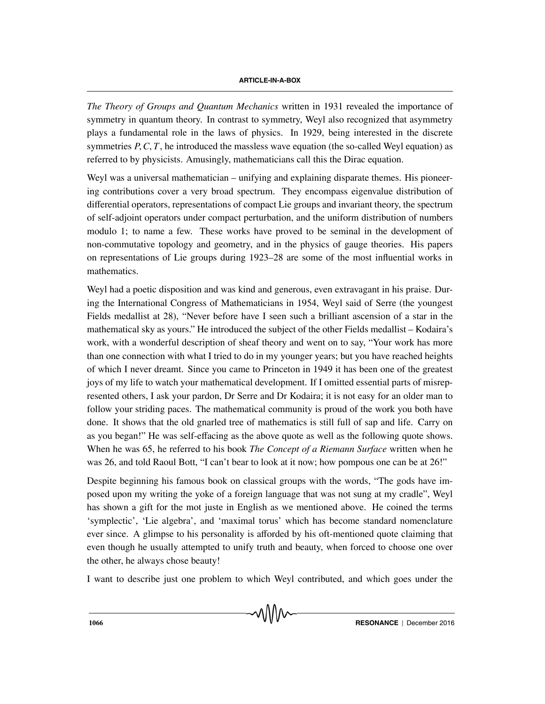*The Theory of Groups and Quantum Mechanics* written in 1931 revealed the importance of symmetry in quantum theory. In contrast to symmetry, Weyl also recognized that asymmetry plays a fundamental role in the laws of physics. In 1929, being interested in the discrete symmetries  $P$ ,  $C$ ,  $T$ , he introduced the massless wave equation (the so-called Weyl equation) as referred to by physicists. Amusingly, mathematicians call this the Dirac equation.

Weyl was a universal mathematician – unifying and explaining disparate themes. His pioneering contributions cover a very broad spectrum. They encompass eigenvalue distribution of differential operators, representations of compact Lie groups and invariant theory, the spectrum of self-adjoint operators under compact perturbation, and the uniform distribution of numbers modulo 1; to name a few. These works have proved to be seminal in the development of non-commutative topology and geometry, and in the physics of gauge theories. His papers on representations of Lie groups during 1923–28 are some of the most influential works in mathematics.

Weyl had a poetic disposition and was kind and generous, even extravagant in his praise. During the International Congress of Mathematicians in 1954, Weyl said of Serre (the youngest Fields medallist at 28), "Never before have I seen such a brilliant ascension of a star in the mathematical sky as yours." He introduced the subject of the other Fields medallist – Kodaira's work, with a wonderful description of sheaf theory and went on to say, "Your work has more than one connection with what I tried to do in my younger years; but you have reached heights of which I never dreamt. Since you came to Princeton in 1949 it has been one of the greatest joys of my life to watch your mathematical development. If I omitted essential parts of misrepresented others, I ask your pardon, Dr Serre and Dr Kodaira; it is not easy for an older man to follow your striding paces. The mathematical community is proud of the work you both have done. It shows that the old gnarled tree of mathematics is still full of sap and life. Carry on as you began!" He was self-effacing as the above quote as well as the following quote shows. When he was 65, he referred to his book *The Concept of a Riemann Surface* written when he was 26, and told Raoul Bott, "I can't bear to look at it now; how pompous one can be at 26!"

Despite beginning his famous book on classical groups with the words, "The gods have imposed upon my writing the yoke of a foreign language that was not sung at my cradle", Weyl has shown a gift for the mot juste in English as we mentioned above. He coined the terms 'symplectic', 'Lie algebra', and 'maximal torus' which has become standard nomenclature ever since. A glimpse to his personality is afforded by his oft-mentioned quote claiming that even though he usually attempted to unify truth and beauty, when forced to choose one over the other, he always chose beauty!

I want to describe just one problem to which Weyl contributed, and which goes under the

VVIVV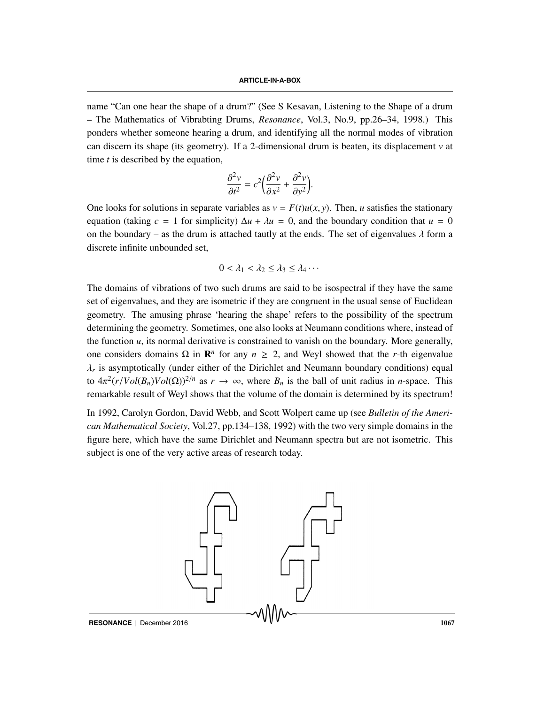name "Can one hear the shape of a drum?" (See S Kesavan, Listening to the Shape of a drum – The Mathematics of Vibrabting Drums, *Resonance*, Vol.3, No.9, pp.26–34, 1998.) This ponders whether someone hearing a drum, and identifying all the normal modes of vibration can discern its shape (its geometry). If a 2-dimensional drum is beaten, its displacement  $\nu$  at time *t* is described by the equation,

$$
\frac{\partial^2 v}{\partial t^2} = c^2 \left( \frac{\partial^2 v}{\partial x^2} + \frac{\partial^2 v}{\partial y^2} \right).
$$

One looks for solutions in separate variables as  $v = F(t)u(x, y)$ . Then, *u* satisfies the stationary equation (taking  $c = 1$  for simplicity)  $\Delta u + \lambda u = 0$ , and the boundary condition that  $u = 0$ on the boundary – as the drum is attached tautly at the ends. The set of eigenvalues  $\lambda$  form a discrete infinite unbounded set,

$$
0 < \lambda_1 < \lambda_2 \leq \lambda_3 \leq \lambda_4 \cdots
$$

The domains of vibrations of two such drums are said to be isospectral if they have the same set of eigenvalues, and they are isometric if they are congruent in the usual sense of Euclidean geometry. The amusing phrase 'hearing the shape' refers to the possibility of the spectrum determining the geometry. Sometimes, one also looks at Neumann conditions where, instead of the function *u*, its normal derivative is constrained to vanish on the boundary. More generally, one considers domains Ω in **R**<sup>*n*</sup> for any *n* ≥ 2, and Weyl showed that the *r*-th eigenvalue  $\lambda_r$  is asymptotically (under either of the Dirichlet and Neumann boundary conditions) equal to  $4\pi^2(r/Vol(B_n)Vol(\Omega))^{2/n}$  as  $r \to \infty$ , where  $B_n$  is the ball of unit radius in *n*-space. This remarkable result of Weyl shows that the volume of the domain is determined by its spectrum!

In 1992, Carolyn Gordon, David Webb, and Scott Wolpert came up (see *Bulletin of the American Mathematical Society*, Vol.27, pp.134–138, 1992) with the two very simple domains in the figure here, which have the same Dirichlet and Neumann spectra but are not isometric. This subject is one of the very active areas of research today.